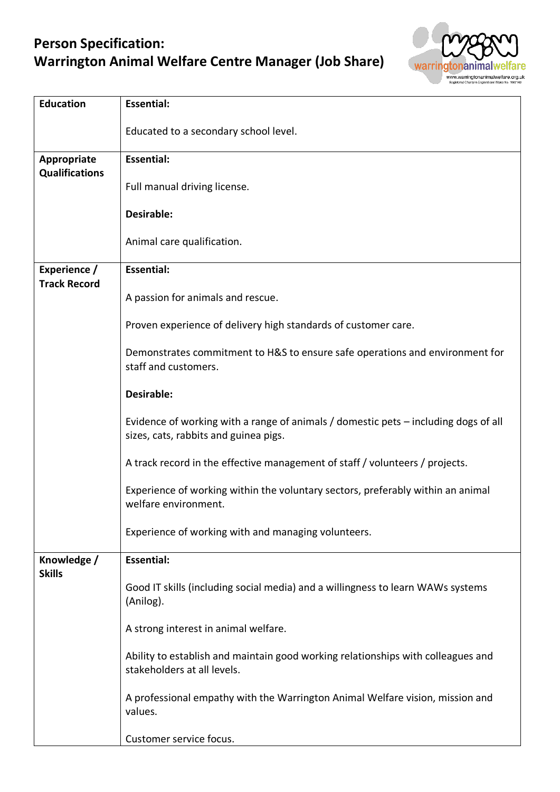## **Person Specification: Warrington Animal Welfare Centre Manager (Job Share)**



| <b>Education</b>                    | <b>Essential:</b>                                                                                                            |
|-------------------------------------|------------------------------------------------------------------------------------------------------------------------------|
|                                     | Educated to a secondary school level.                                                                                        |
| Appropriate                         | <b>Essential:</b>                                                                                                            |
| <b>Qualifications</b>               | Full manual driving license.                                                                                                 |
|                                     | Desirable:                                                                                                                   |
|                                     | Animal care qualification.                                                                                                   |
| Experience /<br><b>Track Record</b> | <b>Essential:</b>                                                                                                            |
|                                     | A passion for animals and rescue.                                                                                            |
|                                     | Proven experience of delivery high standards of customer care.                                                               |
|                                     | Demonstrates commitment to H&S to ensure safe operations and environment for<br>staff and customers.                         |
|                                     | Desirable:                                                                                                                   |
|                                     | Evidence of working with a range of animals / domestic pets - including dogs of all<br>sizes, cats, rabbits and guinea pigs. |
|                                     | A track record in the effective management of staff / volunteers / projects.                                                 |
|                                     | Experience of working within the voluntary sectors, preferably within an animal<br>welfare environment.                      |
|                                     | Experience of working with and managing volunteers.                                                                          |
| Knowledge /<br><b>Skills</b>        | <b>Essential:</b>                                                                                                            |
|                                     | Good IT skills (including social media) and a willingness to learn WAWs systems<br>(Anilog).                                 |
|                                     | A strong interest in animal welfare.                                                                                         |
|                                     | Ability to establish and maintain good working relationships with colleagues and<br>stakeholders at all levels.              |
|                                     | A professional empathy with the Warrington Animal Welfare vision, mission and<br>values.                                     |
|                                     | Customer service focus.                                                                                                      |